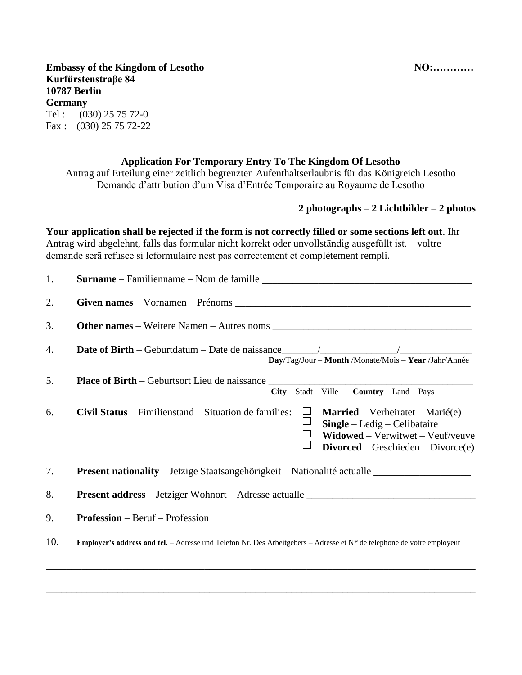NO:............

**Embassy of the Kingdom of Lesotho** Kurfürstenstraβe 84 **10787 Berlin Germany** Tel:  $(030)$  25 75 72-0 Fax:  $(030)$  25 75 72-22

## **Application For Temporary Entry To The Kingdom Of Lesotho**

Antrag auf Erteilung einer zeitlich begrenzten Aufenthaltserlaubnis für das Königreich Lesotho Demande d'attribution d'um Visa d'Entrée Temporaire au Royaume de Lesotho

## 2 photographs  $-2$  Lichtbilder  $-2$  photos

Your application shall be rejected if the form is not correctly filled or some sections left out. Ihr Antrag wird abgelehnt, falls das formular nicht korrekt oder unvollständig ausgefüllt ist. – voltre demande serà refusee si leformulaire nest pas correctement et complétement rempli.

| 1.  |                                                                                                                                                                                                                         |  |  |  |  |  |  |
|-----|-------------------------------------------------------------------------------------------------------------------------------------------------------------------------------------------------------------------------|--|--|--|--|--|--|
| 2.  |                                                                                                                                                                                                                         |  |  |  |  |  |  |
| 3.  |                                                                                                                                                                                                                         |  |  |  |  |  |  |
| 4.  | Day/Tag/Jour - Month /Monate/Mois - Year /Jahr/Année                                                                                                                                                                    |  |  |  |  |  |  |
| 5.  | Place of Birth - Geburtsort Lieu de naissance __________________________________<br>$City - Stadt - Ville$ Country - Land - Pays                                                                                        |  |  |  |  |  |  |
| 6.  | Civil Status – Fimilienstand – Situation de families:<br><b>Married</b> – Verheiratet – Marié(e)<br>$\Box$<br>$Single - Ledig - Celibataire$<br>Widowed - Verwitwet - Veuf/veuve<br>$Divored - Geschichte - Divorce(e)$ |  |  |  |  |  |  |
| 7.  | Present nationality - Jetzige Staatsangehörigkeit - Nationalité actualle __________________________                                                                                                                     |  |  |  |  |  |  |
| 8.  |                                                                                                                                                                                                                         |  |  |  |  |  |  |
| 9.  | $Professor - Beruf - Professor$                                                                                                                                                                                         |  |  |  |  |  |  |
| 10. | Employer's address and tel. - Adresse und Telefon Nr. Des Arbeitgebers - Adresse et $N^*$ de telephone de votre employeur                                                                                               |  |  |  |  |  |  |
|     |                                                                                                                                                                                                                         |  |  |  |  |  |  |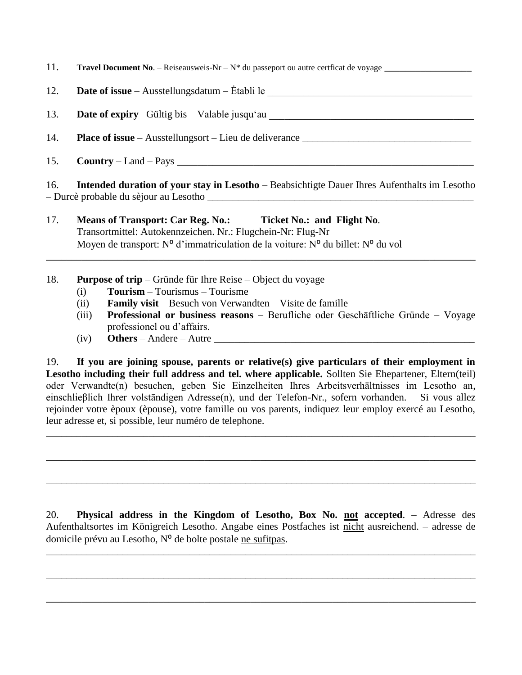| 11.<br><b>Travel Document No.</b> – Reiseausweis-Nr – $N^*$ du passeport ou autre certficat de voyage – |  |
|---------------------------------------------------------------------------------------------------------|--|
|---------------------------------------------------------------------------------------------------------|--|

12.

**Date of expiry** - Gültig bis - Valable jusqu'au 13.

 $14.$ 

 $Country - Land - Pays$ 15.

Intended duration of your stay in Lesotho - Beabsichtigte Dauer Ihres Aufenthalts im Lesotho  $16<sub>1</sub>$ - Durcè probable du sèjour au Lesotho

- 17. Ticket No.: and Flight No. **Means of Transport: Car Reg. No.:** Transortmittel: Autokennzeichen. Nr.: Flugchein-Nr: Flug-Nr Moven de transport:  $N^{\circ}$  d'immatriculation de la voiture:  $N^{\circ}$  du billet:  $N^{\circ}$  du vol
- 18. **Purpose of trip** – Gründe für Ihre Reise – Object du voyage
	- $Tourism Tourismus Tourism$  $(i)$
	- $(ii)$ **Family visit** – Besuch von Verwandten – Visite de famille
	- Professional or business reasons Berufliche oder Geschäftliche Gründe Voyage  $(iii)$ professionel ou d'affairs.
	- **Others** Andere Autre <sub>—</sub>  $(iv)$

If you are joining spouse, parents or relative(s) give particulars of their employment in 19. Lesotho including their full address and tel. where applicable. Sollten Sie Ehepartener, Eltern(teil) oder Verwandte(n) besuchen, geben Sie Einzelheiten Ihres Arbeitsverhältnisses im Lesotho an, einschließlich Ihrer volständigen Adresse(n), und der Telefon-Nr., sofern vorhanden. – Si vous allez rejoinder votre èpoux (èpouse), votre famille ou vos parents, indiquez leur employ exercé au Lesotho, leur adresse et, si possible, leur numéro de telephone.

20. Physical address in the Kingdom of Lesotho, Box No. not accepted. - Adresse des Aufenthaltsortes im Königreich Lesotho. Angabe eines Postfaches ist nicht ausreichend. – adresse de domicile prévu au Lesotho,  $N<sup>o</sup>$  de bolte postale ne sufit pas.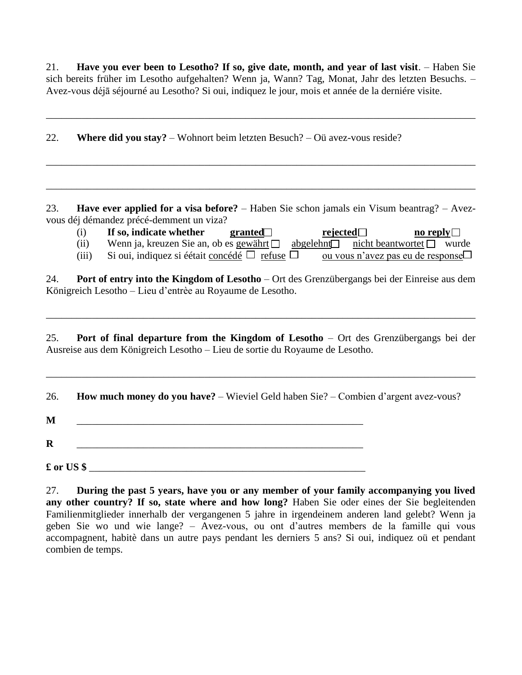21. **Have you ever been to Lesotho? If so, give date, month, and year of last visit**. – Haben Sie sich bereits früher im Lesotho aufgehalten? Wenn ja, Wann? Tag, Monat, Jahr des letzten Besuchs. – Avez-vous déjā séjourné au Lesotho? Si oui, indiquez le jour, mois et année de la derniére visite.

\_\_\_\_\_\_\_\_\_\_\_\_\_\_\_\_\_\_\_\_\_\_\_\_\_\_\_\_\_\_\_\_\_\_\_\_\_\_\_\_\_\_\_\_\_\_\_\_\_\_\_\_\_\_\_\_\_\_\_\_\_\_\_\_\_\_\_\_\_\_\_\_\_\_\_\_\_\_\_\_\_\_\_\_

\_\_\_\_\_\_\_\_\_\_\_\_\_\_\_\_\_\_\_\_\_\_\_\_\_\_\_\_\_\_\_\_\_\_\_\_\_\_\_\_\_\_\_\_\_\_\_\_\_\_\_\_\_\_\_\_\_\_\_\_\_\_\_\_\_\_\_\_\_\_\_\_\_\_\_\_\_\_\_\_\_\_\_\_

\_\_\_\_\_\_\_\_\_\_\_\_\_\_\_\_\_\_\_\_\_\_\_\_\_\_\_\_\_\_\_\_\_\_\_\_\_\_\_\_\_\_\_\_\_\_\_\_\_\_\_\_\_\_\_\_\_\_\_\_\_\_\_\_\_\_\_\_\_\_\_\_\_\_\_\_\_\_\_\_\_\_\_\_

22. **Where did you stay?** – Wohnort beim letzten Besuch? – Oü avez-vous reside?

23. **Have ever applied for a visa before?** – Haben Sie schon jamals ein Visum beantrag? – Avezvous déj démandez précé-demment un viza?

| (i)   | If so, indicate whether                                                                | granted $\Box$ | rejected $\Box$ |                                          | no reply $\Box$ |  |
|-------|----------------------------------------------------------------------------------------|----------------|-----------------|------------------------------------------|-----------------|--|
| (ii)  | Wenn ja, kreuzen Sie an, ob es gewährt $\Box$ abgelehnt nicht beantwortet $\Box$ wurde |                |                 |                                          |                 |  |
| (iii) | Si oui, indiquez si éétait concédé $\Box$ refuse $\Box$                                |                |                 | <u>ou vous n'avez pas eu de response</u> |                 |  |

24. **Port of entry into the Kingdom of Lesotho** – Ort des Grenzübergangs bei der Einreise aus dem Königreich Lesotho – Lieu d'entrèe au Royaume de Lesotho.

25. **Port of final departure from the Kingdom of Lesotho** – Ort des Grenzübergangs bei der Ausreise aus dem Königreich Lesotho – Lieu de sortie du Royaume de Lesotho.

\_\_\_\_\_\_\_\_\_\_\_\_\_\_\_\_\_\_\_\_\_\_\_\_\_\_\_\_\_\_\_\_\_\_\_\_\_\_\_\_\_\_\_\_\_\_\_\_\_\_\_\_\_\_\_\_\_\_\_\_\_\_\_\_\_\_\_\_\_\_\_\_\_\_\_\_\_\_\_\_\_\_\_\_

\_\_\_\_\_\_\_\_\_\_\_\_\_\_\_\_\_\_\_\_\_\_\_\_\_\_\_\_\_\_\_\_\_\_\_\_\_\_\_\_\_\_\_\_\_\_\_\_\_\_\_\_\_\_\_\_\_\_\_\_\_\_\_\_\_\_\_\_\_\_\_\_\_\_\_\_\_\_\_\_\_\_\_\_

26. **How much money do you have?** – Wieviel Geld haben Sie? – Combien d'argent avez-vous?

**M** \_\_\_\_\_\_\_\_\_\_\_\_\_\_\_\_\_\_\_\_\_\_\_\_\_\_\_\_\_\_\_\_\_\_\_\_\_\_\_\_\_\_\_\_\_\_\_\_\_\_\_\_\_\_\_\_

 $\pounds$  or US \$

**R** \_\_\_\_\_\_\_\_\_\_\_\_\_\_\_\_\_\_\_\_\_\_\_\_\_\_\_\_\_\_\_\_\_\_\_\_\_\_\_\_\_\_\_\_\_\_\_\_\_\_\_\_\_\_\_\_

27. **During the past 5 years, have you or any member of your family accompanying you lived any other country? If so, state where and how long?** Haben Sie oder eines der Sie begleitenden Familienmitglieder innerhalb der vergangenen 5 jahre in irgendeinem anderen land gelebt? Wenn ja geben Sie wo und wie lange? – Avez-vous, ou ont d'autres members de la famille qui vous accompagnent, habitè dans un autre pays pendant les derniers 5 ans? Si oui, indiquez oü et pendant combien de temps.